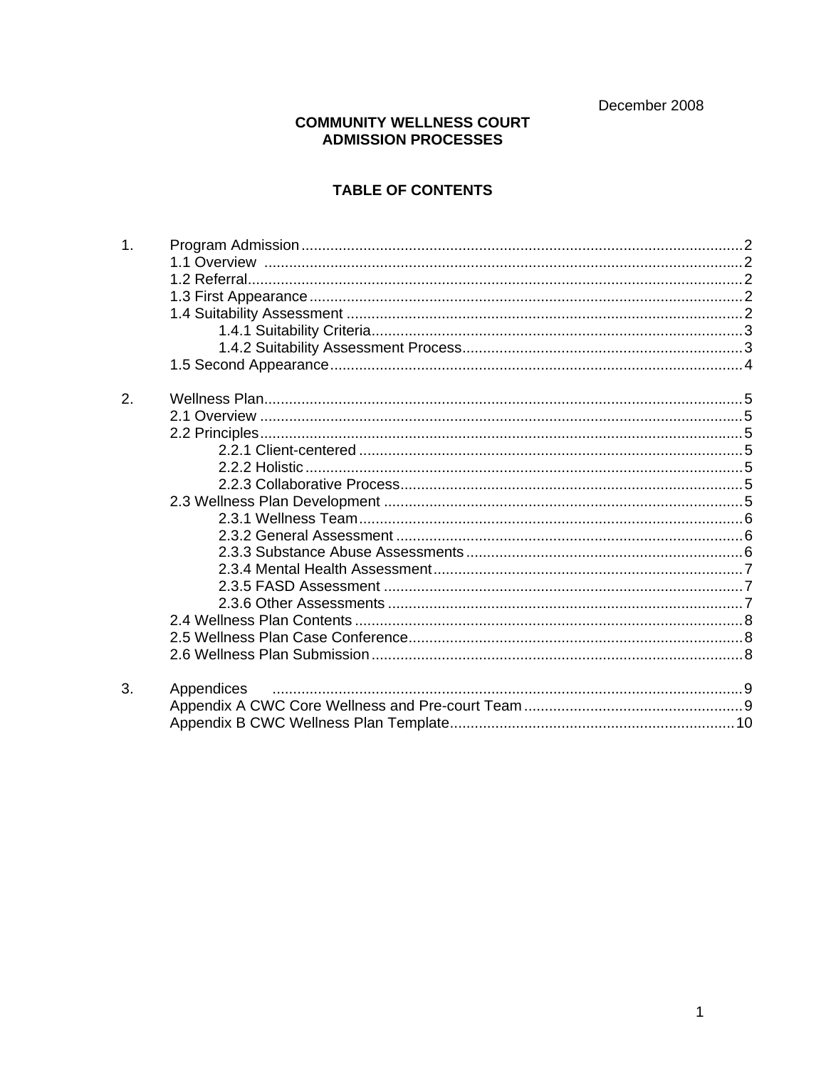December 2008

#### **COMMUNITY WELLNESS COURT** ADMISSION PROCESSES

# **TABLE OF CONTENTS**

| 1.               |            |  |
|------------------|------------|--|
|                  |            |  |
|                  |            |  |
|                  |            |  |
|                  |            |  |
|                  |            |  |
|                  |            |  |
|                  |            |  |
| $\overline{2}$ . |            |  |
|                  |            |  |
|                  |            |  |
|                  |            |  |
|                  |            |  |
|                  |            |  |
|                  |            |  |
|                  |            |  |
|                  |            |  |
|                  |            |  |
|                  |            |  |
|                  |            |  |
|                  |            |  |
|                  |            |  |
|                  |            |  |
|                  |            |  |
| 3.               | Appendices |  |
|                  |            |  |
|                  |            |  |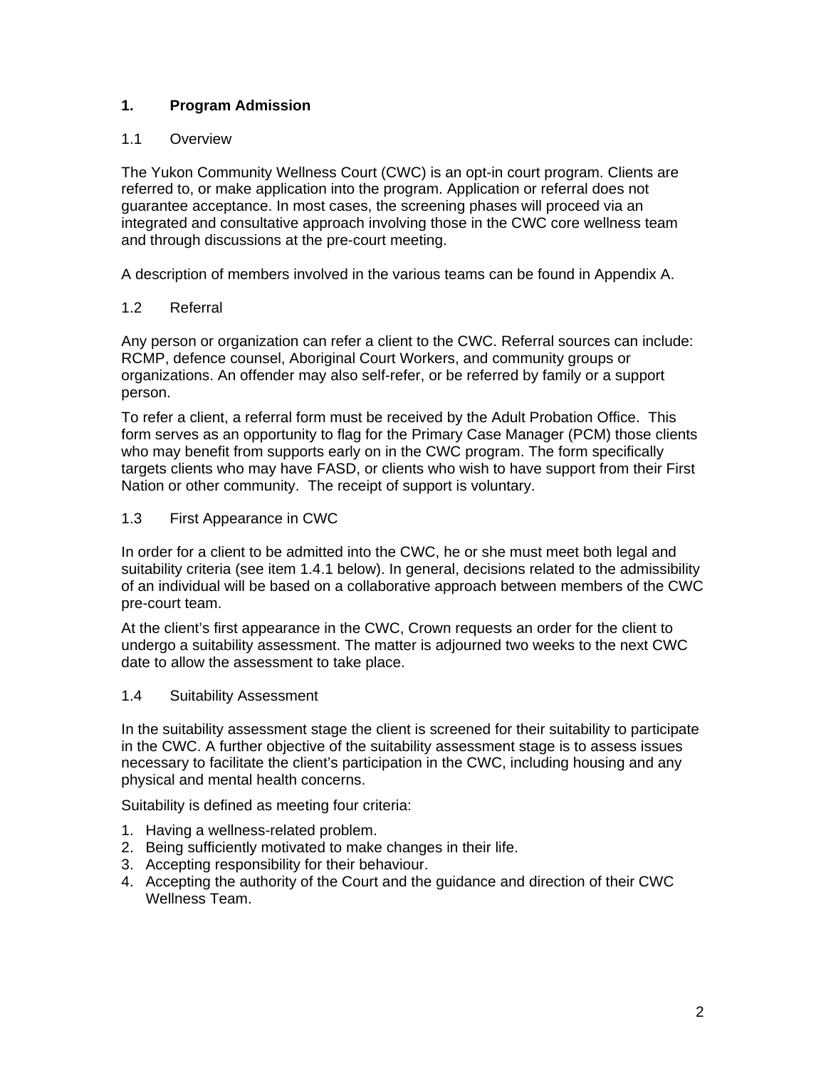# **1. Program Admission**

### 1.1 Overview

The Yukon Community Wellness Court (CWC) is an opt-in court program. Clients are referred to, or make application into the program. Application or referral does not guarantee acceptance. In most cases, the screening phases will proceed via an integrated and consultative approach involving those in the CWC core wellness team and through discussions at the pre-court meeting.

A description of members involved in the various teams can be found in Appendix A.

### 1.2 Referral

Any person or organization can refer a client to the CWC. Referral sources can include: RCMP, defence counsel, Aboriginal Court Workers, and community groups or organizations. An offender may also self-refer, or be referred by family or a support person.

To refer a client, a referral form must be received by the Adult Probation Office. This form serves as an opportunity to flag for the Primary Case Manager (PCM) those clients who may benefit from supports early on in the CWC program. The form specifically targets clients who may have FASD, or clients who wish to have support from their First Nation or other community. The receipt of support is voluntary.

### 1.3 First Appearance in CWC

In order for a client to be admitted into the CWC, he or she must meet both legal and suitability criteria (see item 1.4.1 below). In general, decisions related to the admissibility of an individual will be based on a collaborative approach between members of the CWC pre-court team.

At the client's first appearance in the CWC, Crown requests an order for the client to undergo a suitability assessment. The matter is adjourned two weeks to the next CWC date to allow the assessment to take place.

#### 1.4 Suitability Assessment

In the suitability assessment stage the client is screened for their suitability to participate in the CWC. A further objective of the suitability assessment stage is to assess issues necessary to facilitate the client's participation in the CWC, including housing and any physical and mental health concerns.

Suitability is defined as meeting four criteria:

- 1. Having a wellness-related problem.
- 2. Being sufficiently motivated to make changes in their life.
- 3. Accepting responsibility for their behaviour.
- 4. Accepting the authority of the Court and the guidance and direction of their CWC Wellness Team.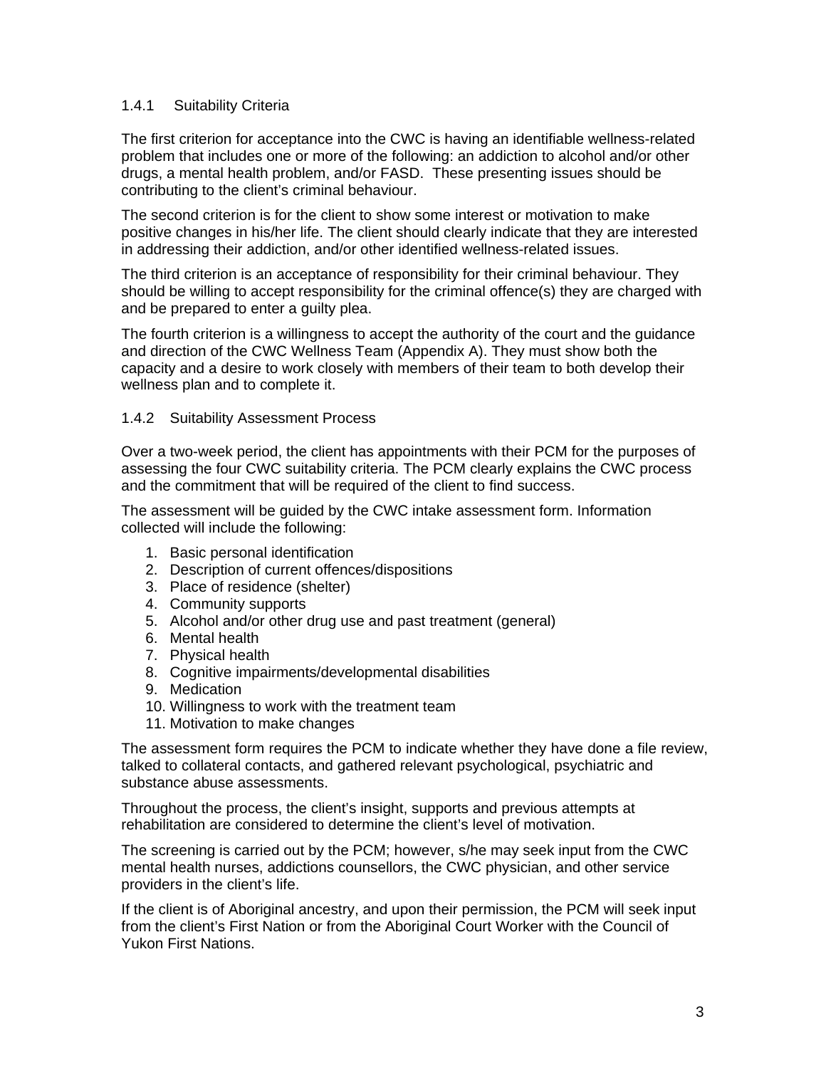#### 1.4.1 Suitability Criteria

The first criterion for acceptance into the CWC is having an identifiable wellness-related problem that includes one or more of the following: an addiction to alcohol and/or other drugs, a mental health problem, and/or FASD. These presenting issues should be contributing to the client's criminal behaviour.

The second criterion is for the client to show some interest or motivation to make positive changes in his/her life. The client should clearly indicate that they are interested in addressing their addiction, and/or other identified wellness-related issues.

The third criterion is an acceptance of responsibility for their criminal behaviour. They should be willing to accept responsibility for the criminal offence(s) they are charged with and be prepared to enter a guilty plea.

The fourth criterion is a willingness to accept the authority of the court and the guidance and direction of the CWC Wellness Team (Appendix A). They must show both the capacity and a desire to work closely with members of their team to both develop their wellness plan and to complete it.

#### 1.4.2 Suitability Assessment Process

Over a two-week period, the client has appointments with their PCM for the purposes of assessing the four CWC suitability criteria. The PCM clearly explains the CWC process and the commitment that will be required of the client to find success.

The assessment will be guided by the CWC intake assessment form. Information collected will include the following:

- 1. Basic personal identification
- 2. Description of current offences/dispositions
- 3. Place of residence (shelter)
- 4. Community supports
- 5. Alcohol and/or other drug use and past treatment (general)
- 6. Mental health
- 7. Physical health
- 8. Cognitive impairments/developmental disabilities
- 9. Medication
- 10. Willingness to work with the treatment team
- 11. Motivation to make changes

The assessment form requires the PCM to indicate whether they have done a file review, talked to collateral contacts, and gathered relevant psychological, psychiatric and substance abuse assessments.

Throughout the process, the client's insight, supports and previous attempts at rehabilitation are considered to determine the client's level of motivation.

The screening is carried out by the PCM; however, s/he may seek input from the CWC mental health nurses, addictions counsellors, the CWC physician, and other service providers in the client's life.

If the client is of Aboriginal ancestry, and upon their permission, the PCM will seek input from the client's First Nation or from the Aboriginal Court Worker with the Council of Yukon First Nations.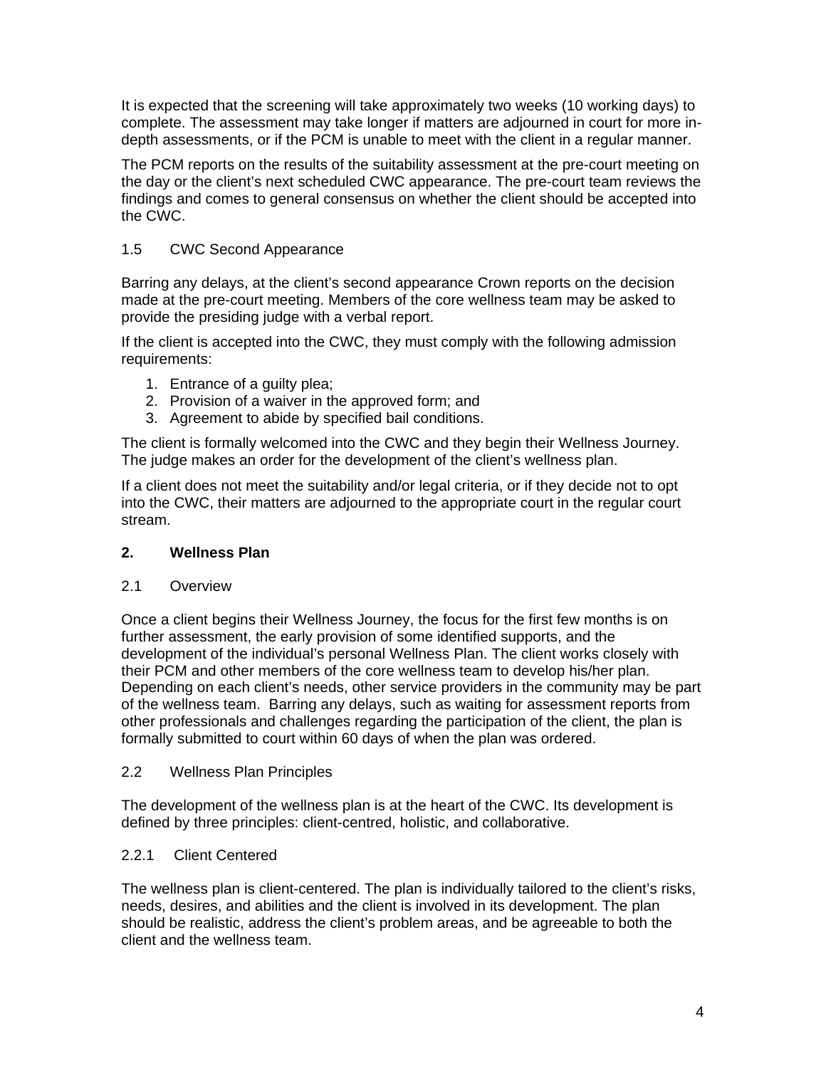It is expected that the screening will take approximately two weeks (10 working days) to complete. The assessment may take longer if matters are adjourned in court for more indepth assessments, or if the PCM is unable to meet with the client in a regular manner.

The PCM reports on the results of the suitability assessment at the pre-court meeting on the day or the client's next scheduled CWC appearance. The pre-court team reviews the findings and comes to general consensus on whether the client should be accepted into the CWC.

## 1.5 CWC Second Appearance

Barring any delays, at the client's second appearance Crown reports on the decision made at the pre-court meeting. Members of the core wellness team may be asked to provide the presiding judge with a verbal report.

If the client is accepted into the CWC, they must comply with the following admission requirements:

- 1. Entrance of a guilty plea;
- 2. Provision of a waiver in the approved form; and
- 3. Agreement to abide by specified bail conditions.

The client is formally welcomed into the CWC and they begin their Wellness Journey. The judge makes an order for the development of the client's wellness plan.

If a client does not meet the suitability and/or legal criteria, or if they decide not to opt into the CWC, their matters are adjourned to the appropriate court in the regular court stream.

#### **2. Wellness Plan**

#### 2.1 Overview

Once a client begins their Wellness Journey, the focus for the first few months is on further assessment, the early provision of some identified supports, and the development of the individual's personal Wellness Plan. The client works closely with their PCM and other members of the core wellness team to develop his/her plan. Depending on each client's needs, other service providers in the community may be part of the wellness team. Barring any delays, such as waiting for assessment reports from other professionals and challenges regarding the participation of the client, the plan is formally submitted to court within 60 days of when the plan was ordered.

#### 2.2 Wellness Plan Principles

The development of the wellness plan is at the heart of the CWC. Its development is defined by three principles: client-centred, holistic, and collaborative.

#### 2.2.1 Client Centered

The wellness plan is client-centered. The plan is individually tailored to the client's risks, needs, desires, and abilities and the client is involved in its development. The plan should be realistic, address the client's problem areas, and be agreeable to both the client and the wellness team.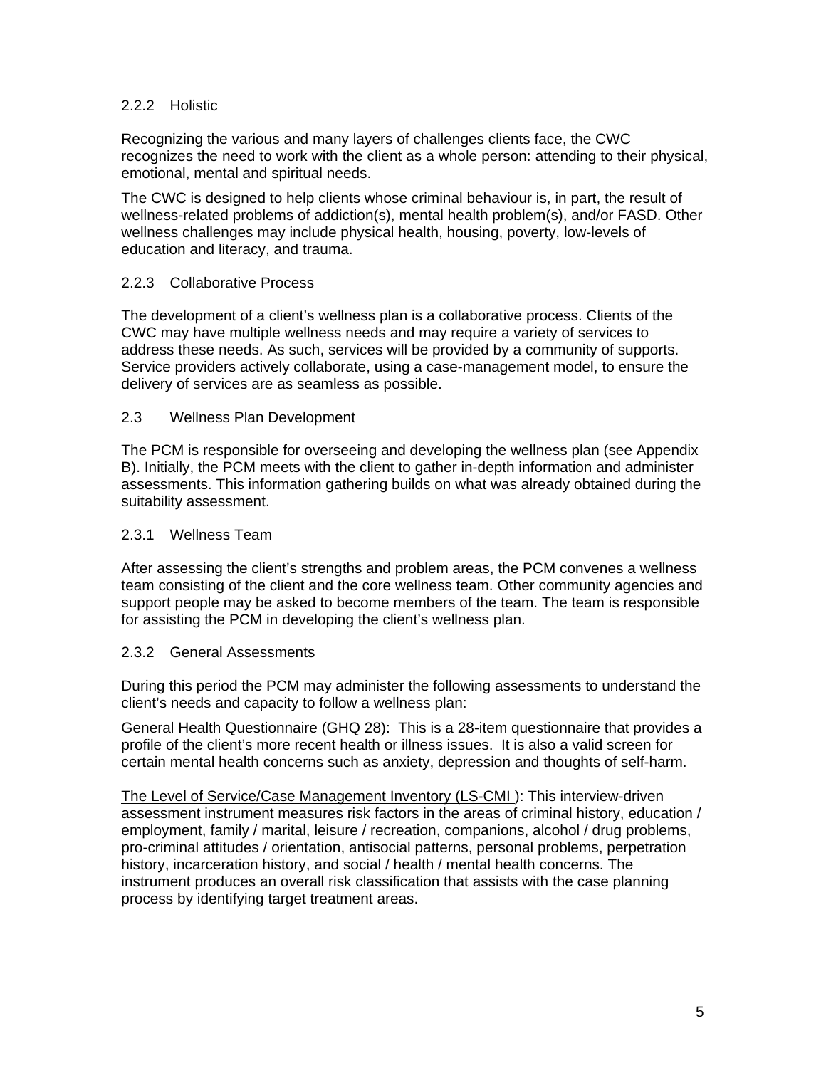#### 2.2.2 Holistic

Recognizing the various and many layers of challenges clients face, the CWC recognizes the need to work with the client as a whole person: attending to their physical, emotional, mental and spiritual needs.

The CWC is designed to help clients whose criminal behaviour is, in part, the result of wellness-related problems of addiction(s), mental health problem(s), and/or FASD. Other wellness challenges may include physical health, housing, poverty, low-levels of education and literacy, and trauma.

#### 2.2.3 Collaborative Process

The development of a client's wellness plan is a collaborative process. Clients of the CWC may have multiple wellness needs and may require a variety of services to address these needs. As such, services will be provided by a community of supports. Service providers actively collaborate, using a case-management model, to ensure the delivery of services are as seamless as possible.

#### 2.3 Wellness Plan Development

The PCM is responsible for overseeing and developing the wellness plan (see Appendix B). Initially, the PCM meets with the client to gather in-depth information and administer assessments. This information gathering builds on what was already obtained during the suitability assessment.

#### 2.3.1 Wellness Team

After assessing the client's strengths and problem areas, the PCM convenes a wellness team consisting of the client and the core wellness team. Other community agencies and support people may be asked to become members of the team. The team is responsible for assisting the PCM in developing the client's wellness plan.

#### 2.3.2 General Assessments

During this period the PCM may administer the following assessments to understand the client's needs and capacity to follow a wellness plan:

General Health Questionnaire (GHQ 28): This is a 28-item questionnaire that provides a profile of the client's more recent health or illness issues. It is also a valid screen for certain mental health concerns such as anxiety, depression and thoughts of self-harm.

The Level of Service/Case Management Inventory (LS-CMI ): This interview-driven assessment instrument measures risk factors in the areas of criminal history, education / employment, family / marital, leisure / recreation, companions, alcohol / drug problems, pro-criminal attitudes / orientation, antisocial patterns, personal problems, perpetration history, incarceration history, and social / health / mental health concerns. The instrument produces an overall risk classification that assists with the case planning process by identifying target treatment areas.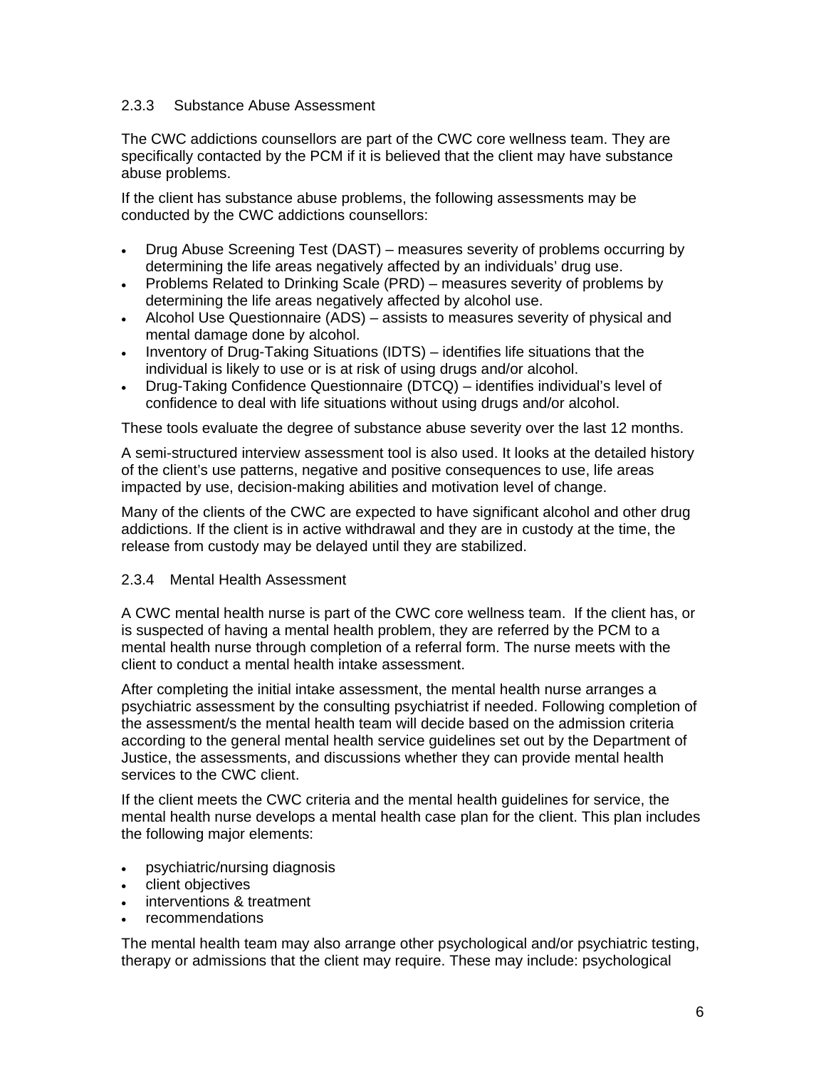#### 2.3.3 Substance Abuse Assessment

The CWC addictions counsellors are part of the CWC core wellness team. They are specifically contacted by the PCM if it is believed that the client may have substance abuse problems.

If the client has substance abuse problems, the following assessments may be conducted by the CWC addictions counsellors:

- Drug Abuse Screening Test (DAST) measures severity of problems occurring by determining the life areas negatively affected by an individuals' drug use.
- Problems Related to Drinking Scale (PRD) measures severity of problems by determining the life areas negatively affected by alcohol use.
- Alcohol Use Questionnaire (ADS) assists to measures severity of physical and mental damage done by alcohol.
- Inventory of Drug-Taking Situations (IDTS) identifies life situations that the individual is likely to use or is at risk of using drugs and/or alcohol.
- Drug-Taking Confidence Questionnaire (DTCQ) identifies individual's level of confidence to deal with life situations without using drugs and/or alcohol.

These tools evaluate the degree of substance abuse severity over the last 12 months.

A semi-structured interview assessment tool is also used. It looks at the detailed history of the client's use patterns, negative and positive consequences to use, life areas impacted by use, decision-making abilities and motivation level of change.

Many of the clients of the CWC are expected to have significant alcohol and other drug addictions. If the client is in active withdrawal and they are in custody at the time, the release from custody may be delayed until they are stabilized.

#### 2.3.4 Mental Health Assessment

A CWC mental health nurse is part of the CWC core wellness team. If the client has, or is suspected of having a mental health problem, they are referred by the PCM to a mental health nurse through completion of a referral form. The nurse meets with the client to conduct a mental health intake assessment.

After completing the initial intake assessment, the mental health nurse arranges a psychiatric assessment by the consulting psychiatrist if needed. Following completion of the assessment/s the mental health team will decide based on the admission criteria according to the general mental health service guidelines set out by the Department of Justice, the assessments, and discussions whether they can provide mental health services to the CWC client.

If the client meets the CWC criteria and the mental health guidelines for service, the mental health nurse develops a mental health case plan for the client. This plan includes the following major elements:

- psychiatric/nursing diagnosis
- client objectives
- interventions & treatment
- recommendations

The mental health team may also arrange other psychological and/or psychiatric testing, therapy or admissions that the client may require. These may include: psychological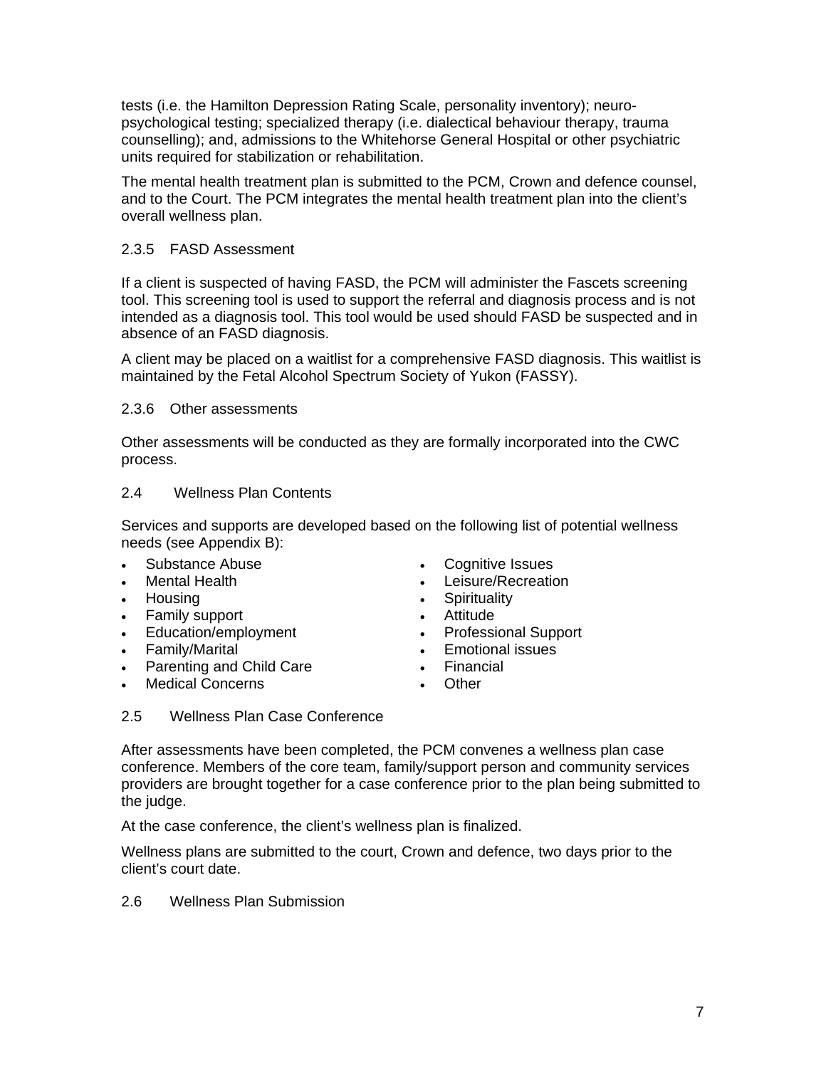tests (i.e. the Hamilton Depression Rating Scale, personality inventory); neuropsychological testing; specialized therapy (i.e. dialectical behaviour therapy, trauma counselling); and, admissions to the Whitehorse General Hospital or other psychiatric units required for stabilization or rehabilitation.

The mental health treatment plan is submitted to the PCM, Crown and defence counsel, and to the Court. The PCM integrates the mental health treatment plan into the client's overall wellness plan.

#### 2.3.5 FASD Assessment

If a client is suspected of having FASD, the PCM will administer the Fascets screening tool. This screening tool is used to support the referral and diagnosis process and is not intended as a diagnosis tool. This tool would be used should FASD be suspected and in absence of an FASD diagnosis.

A client may be placed on a waitlist for a comprehensive FASD diagnosis. This waitlist is maintained by the Fetal Alcohol Spectrum Society of Yukon (FASSY).

#### 2.3.6 Other assessments

Other assessments will be conducted as they are formally incorporated into the CWC process.

#### 2.4 Wellness Plan Contents

Services and supports are developed based on the following list of potential wellness needs (see Appendix B):

- 
- 
- 
- Family support **•** Attitude
- Education/employment Professional Support
- 
- Parenting and Child Care Financial
- Medical Concerns Other
- Substance Abuse Cognitive Issues
- Mental Health  **Leisure/Recreation**
- Housing  **Spirituality** 
	-
	-
- Family/Marital  **Emotional issues** 
	-
	-

#### 2.5 Wellness Plan Case Conference

After assessments have been completed, the PCM convenes a wellness plan case conference. Members of the core team, family/support person and community services providers are brought together for a case conference prior to the plan being submitted to the judge.

At the case conference, the client's wellness plan is finalized.

Wellness plans are submitted to the court, Crown and defence, two days prior to the client's court date.

2.6 Wellness Plan Submission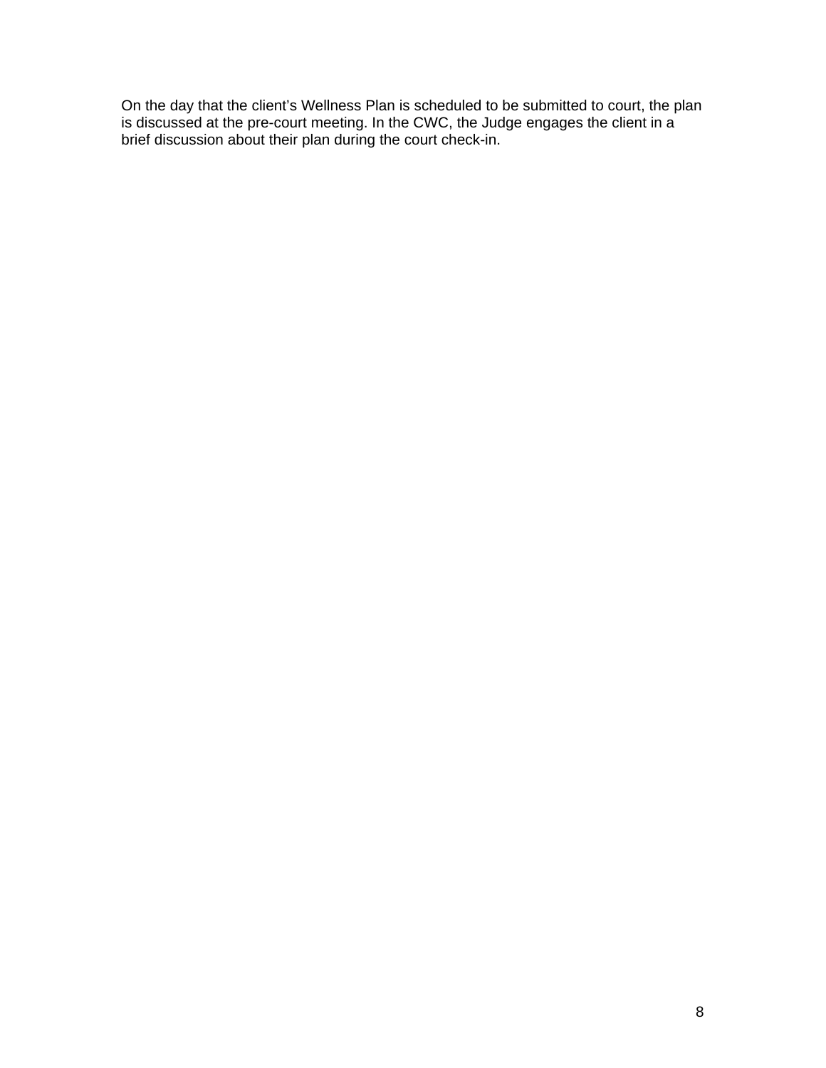On the day that the client's Wellness Plan is scheduled to be submitted to court, the plan is discussed at the pre-court meeting. In the CWC, the Judge engages the client in a brief discussion about their plan during the court check-in.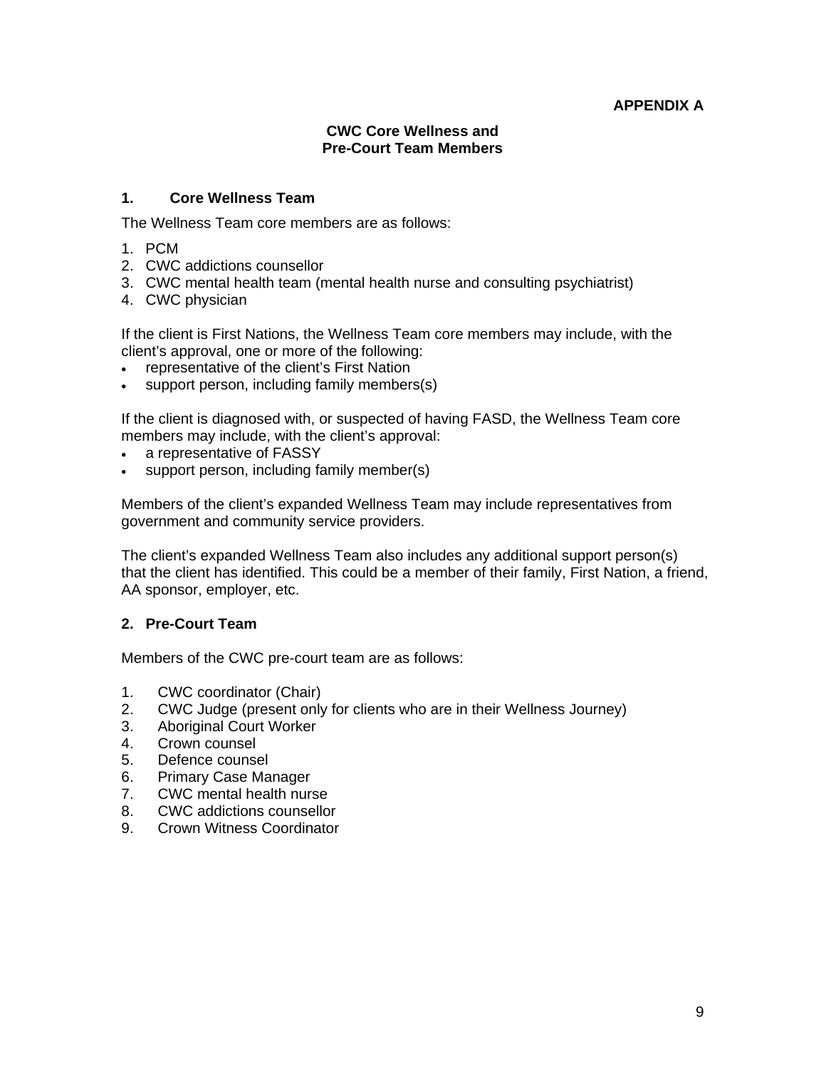### **APPENDIX A**

#### **CWC Core Wellness and Pre-Court Team Members**

#### **1. Core Wellness Team**

The Wellness Team core members are as follows:

- 1. PCM
- 2. CWC addictions counsellor
- 3. CWC mental health team (mental health nurse and consulting psychiatrist)
- 4. CWC physician

If the client is First Nations, the Wellness Team core members may include, with the client's approval, one or more of the following:

- representative of the client's First Nation
- support person, including family members(s)

If the client is diagnosed with, or suspected of having FASD, the Wellness Team core members may include, with the client's approval:

- a representative of FASSY
- support person, including family member(s)

 Members of the client's expanded Wellness Team may include representatives from government and community service providers.

The client's expanded Wellness Team also includes any additional support person(s) that the client has identified. This could be a member of their family, First Nation, a friend, AA sponsor, employer, etc.

#### **2. Pre-Court Team**

Members of the CWC pre-court team are as follows:

- 1. CWC coordinator (Chair)
- 2. CWC Judge (present only for clients who are in their Wellness Journey)
- 3. Aboriginal Court Worker
- 4. Crown counsel
- 5. Defence counsel
- 6. Primary Case Manager
- 7. CWC mental health nurse
- 8. CWC addictions counsellor
- 9. Crown Witness Coordinator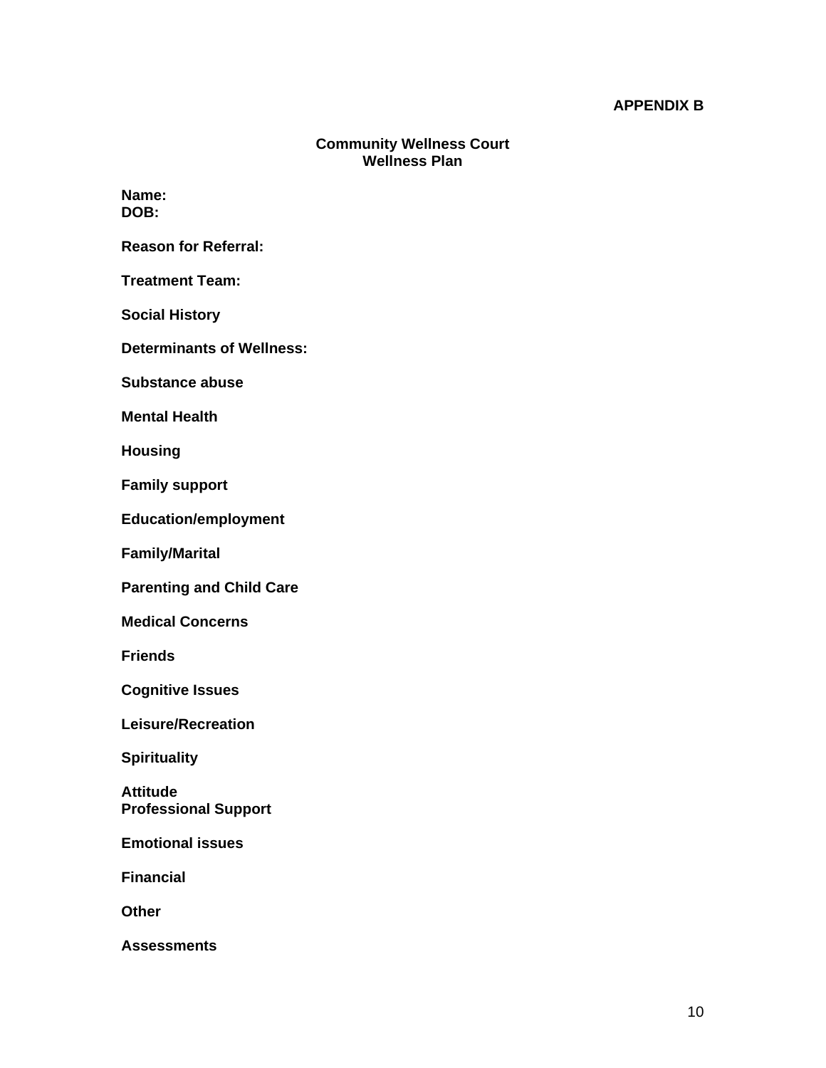#### **APPENDIX B**

### **Community Wellness Court Wellness Plan**

**Name: DOB:** 

**Reason for Referral:** 

**Treatment Team:** 

**Social History** 

**Determinants of Wellness:** 

**Substance abuse** 

**Mental Health** 

**Housing** 

**Family support** 

**Education/employment**

**Family/Marital** 

**Parenting and Child Care** 

**Medical Concerns** 

**Friends** 

**Cognitive Issues** 

**Leisure/Recreation** 

**Spirituality** 

**Attitude Professional Support** 

**Emotional issues**

**Financial** 

**Other** 

**Assessments**